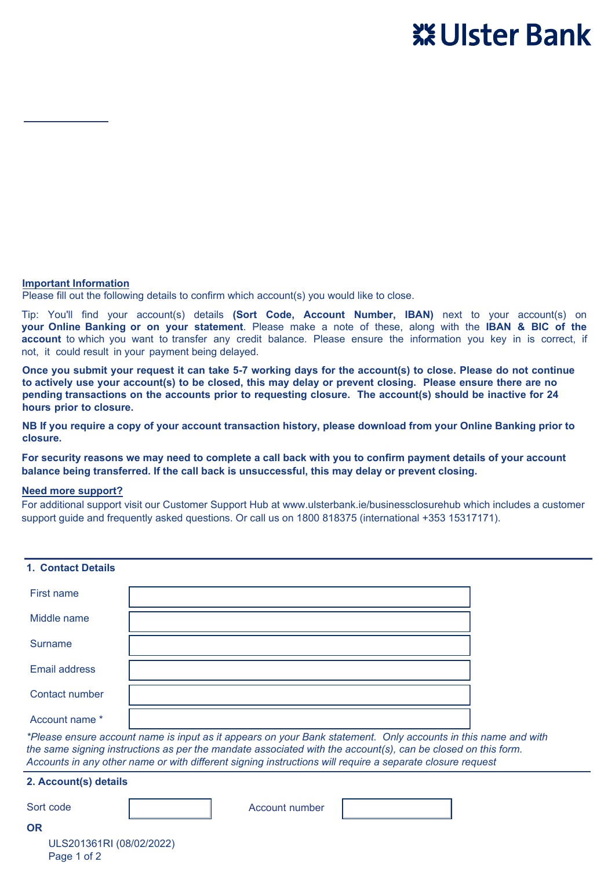# **Account Closure Form - Business Current and Savings Accounts only**



**If you wish to close your account(s), please complete this form and return to Ulster Bank Ireland DAC, PO Box 13432, Dublin 18.**

## **Eligibility Criteria**

- You may close up to 2 accounts using this form. Only accounts in the same name and with the same signing instructions as per the mandate associated with the account(s), can be closed on this form. Accounts in any other name or with different signing instructions will require a separate closure request.
- Unless there is a Nil balance on the account(s) being closed, you **MUST** have another Bank account where we will transfer your remaining balance to. Remaining balance will be calculated once all interest, fees & charges have been applied.
- You will also need to close any safe custody arrangements, linked Commercial Cards, fixed term deposit and foreign currency accounts. If you need assistance in settling such other arrangements, please contact us at 1800 818375 (international +353 15317171).
- Your account(s) must not be overdrawn i.e. balance less than €0.

# **Important Information**

Please fill out the following details to confirm which account(s) you would like to close.

Tip: You'll find your account(s) details **(Sort Code, Account Number, IBAN)** next to your account(s) on **your Online Banking or on your statement**. Please make a note of these, along with the **IBAN & BIC of the account** to which you want to transfer any credit balance. Please ensure the information you key in is correct, if not, it could result in your payment being delayed.

**Once you submit your request it can take 5-7 working days for the account(s) to close. Please do not continue to actively use your account(s) to be closed, this may delay or prevent closing. Please ensure there are no pending transactions on the accounts prior to requesting closure. The account(s) should be inactive for 24 hours prior to closure.**

**NB If you require a copy of your account transaction history, please download from your Online Banking prior to closure.**

**For security reasons we may need to complete a call back with you to confirm payment details of your account balance being transferred. If the call back is unsuccessful, this may delay or prevent closing.**

## **Need more support?**

For additional support visit our Customer Support Hub a[t www.ulsterbank.ie/businessclosurehub](www.ulsterbank.ie/xxxx)which includes a customer support guide and frequently asked questions. Or call us on 1800 818375 (international +353 15317171).

| <b>1. Contact Details</b>                                                                                                                                                                                                                                                                                                                   |                |  |  |
|---------------------------------------------------------------------------------------------------------------------------------------------------------------------------------------------------------------------------------------------------------------------------------------------------------------------------------------------|----------------|--|--|
| First name                                                                                                                                                                                                                                                                                                                                  |                |  |  |
| Middle name                                                                                                                                                                                                                                                                                                                                 |                |  |  |
| <b>Surname</b>                                                                                                                                                                                                                                                                                                                              |                |  |  |
| Email address                                                                                                                                                                                                                                                                                                                               |                |  |  |
| Contact number                                                                                                                                                                                                                                                                                                                              |                |  |  |
| Account name *                                                                                                                                                                                                                                                                                                                              |                |  |  |
| *Please ensure account name is input as it appears on your Bank statement. Only accounts in this name and with<br>the same signing instructions as per the mandate associated with the account(s), can be closed on this form.<br>Accounts in any other name or with different signing instructions will require a separate closure request |                |  |  |
| 2. Account(s) details                                                                                                                                                                                                                                                                                                                       |                |  |  |
| Sort code                                                                                                                                                                                                                                                                                                                                   | Account number |  |  |
| <b>OR</b>                                                                                                                                                                                                                                                                                                                                   |                |  |  |

ULS201361RI (08/02/2022) Page 1 of 2